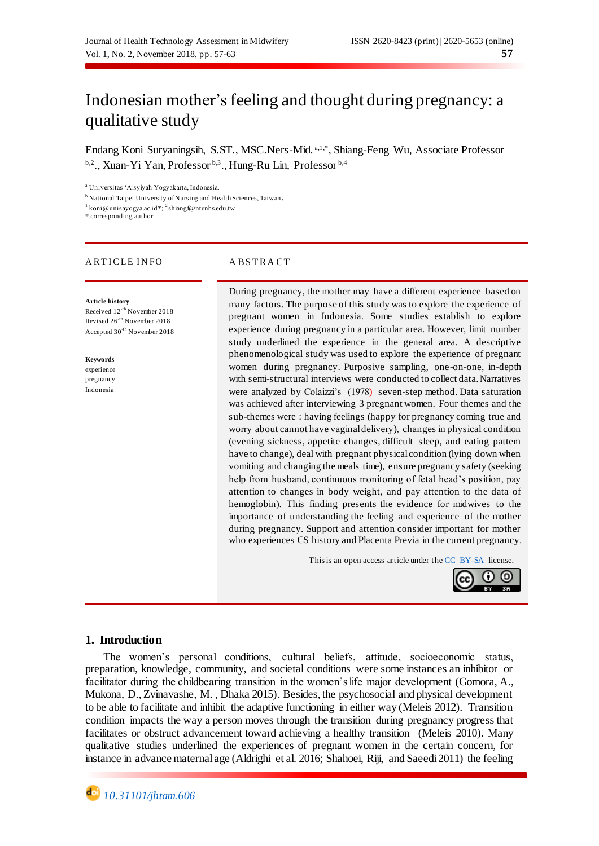# Indonesian mother's feeling and thought during pregnancy: a qualitative study

Endang Koni Suryaningsih, S.ST., MSC.Ners-Mid. <sup>a,1,\*</sup>, Shiang-Feng Wu, Associate Professor <sup>b,2</sup>., Xuan-Yi Yan, Professor <sup>b,3</sup>., Hung-Ru Lin, Professor <sup>b,4</sup>

<sup>a</sup> Universitas 'Aisyiyah Yogyakarta, Indonesia.

<sup>b</sup> National Taipei University of Nursing and Health Sciences, Taiwan.

<sup>1</sup> [koni@unisayogya.ac.id\\*](mailto:koni@unisayogya.ac.id);<sup>2</sup>[shiangf@ntunhs.edu.tw](mailto:shiangf@ntunhs.edu.tw)

\* corresponding author

#### ARTICLE INFO ABSTRACT

**Article history** Received 12-th November 2018 Revised 26-th November 2018 Accepted 30-th November 2018

**Keywords** experience pregnancy Indonesia

During pregnancy, the mother may have a different experience based on many factors. The purpose of this study was to explore the experience of pregnant women in Indonesia. Some studies establish to explore experience during pregnancy in a particular area. However, limit number study underlined the experience in the general area. A descriptive phenomenological study was used to explore the experience of pregnant women during pregnancy. Purposive sampling, one-on-one, in-depth with semi-structural interviews were conducted to collect data. Narratives were analyzed by Colaizzi's (1978) seven-step method. Data saturation was achieved after interviewing 3 pregnant women. Four themes and the sub-themes were : having feelings (happy for pregnancy coming true and worry about cannot have vaginal delivery), changes in physical condition (evening sickness, appetite changes, difficult sleep, and eating pattern have to change), deal with pregnant physical condition (lying down when vomiting and changing the meals time), ensure pregnancy safety (seeking help from husband, continuous monitoring of fetal head's position, pay attention to changes in body weight, and pay attention to the data of hemoglobin). This finding presents the evidence for midwives to the importance of understanding the feeling and experience of the mother during pregnancy. Support and attention consider important for mother who experiences CS history and Placenta Previa in the current pregnancy.

This is an open access article under th[e CC–BY-SA](http://creativecommons.org/licenses/by-sa/4.0/) license.



### **1. Introduction**

The women's personal conditions, cultural beliefs, attitude, socioeconomic status, preparation, knowledge, community, and societal conditions were some instances an inhibitor or facilitator during the childbearing transition in the women's life major development (Gomora, A., Mukona, D., Zvinavashe, M. , Dhaka 2015). Besides, the psychosocial and physical development to be able to facilitate and inhibit the adaptive functioning in either way (Meleis 2012). Transition condition impacts the way a person moves through the transition during pregnancy progress that facilitates or obstruct advancement toward achieving a healthy transition (Meleis 2010). Many qualitative studies underlined the experiences of pregnant women in the certain concern, for instance in advance maternal age (Aldrighi et al. 2016; Shahoei, Riji, and Saeedi 2011) the feeling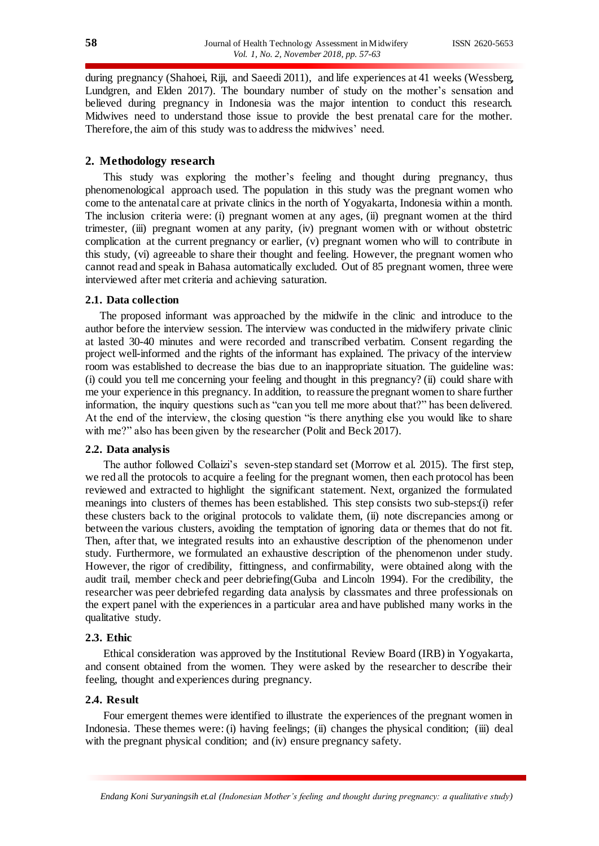during pregnancy (Shahoei, Riji, and Saeedi 2011), and life experiences at 41 weeks (Wessberg, Lundgren, and Elden 2017). The boundary number of study on the mother's sensation and believed during pregnancy in Indonesia was the major intention to conduct this research. Midwives need to understand those issue to provide the best prenatal care for the mother. Therefore, the aim of this study was to address the midwives' need.

# **2. Methodology research**

This study was exploring the mother's feeling and thought during pregnancy, thus phenomenological approach used. The population in this study was the pregnant women who come to the antenatal care at private clinics in the north of Yogyakarta, Indonesia within a month. The inclusion criteria were: (i) pregnant women at any ages, (ii) pregnant women at the third trimester, (iii) pregnant women at any parity, (iv) pregnant women with or without obstetric complication at the current pregnancy or earlier, (v) pregnant women who will to contribute in this study, (vi) agreeable to share their thought and feeling. However, the pregnant women who cannot read and speak in Bahasa automatically excluded. Out of 85 pregnant women, three were interviewed after met criteria and achieving saturation.

# **2.1. Data collection**

The proposed informant was approached by the midwife in the clinic and introduce to the author before the interview session. The interview was conducted in the midwifery private clinic at lasted 30-40 minutes and were recorded and transcribed verbatim. Consent regarding the project well-informed and the rights of the informant has explained. The privacy of the interview room was established to decrease the bias due to an inappropriate situation. The guideline was: (i) could you tell me concerning your feeling and thought in this pregnancy? (ii) could share with me your experience in this pregnancy. In addition, to reassure the pregnant women to share further information, the inquiry questions such as "can you tell me more about that?" has been delivered. At the end of the interview, the closing question "is there anything else you would like to share with me?" also has been given by the researcher (Polit and Beck 2017).

#### **2.2. Data analysis**

The author followed Collaizi's seven-step standard set (Morrow et al. 2015). The first step, we red all the protocols to acquire a feeling for the pregnant women, then each protocol has been reviewed and extracted to highlight the significant statement. Next, organized the formulated meanings into clusters of themes has been established. This step consists two sub-steps:(i) refer these clusters back to the original protocols to validate them, (ii) note discrepancies among or between the various clusters, avoiding the temptation of ignoring data or themes that do not fit. Then, after that, we integrated results into an exhaustive description of the phenomenon under study. Furthermore, we formulated an exhaustive description of the phenomenon under study. However, the rigor of credibility, fittingness, and confirmability, were obtained along with the audit trail, member check and peer debriefing(Guba and Lincoln 1994). For the credibility, the researcher was peer debriefed regarding data analysis by classmates and three professionals on the expert panel with the experiences in a particular area and have published many works in the qualitative study.

# **2.3. Ethic**

Ethical consideration was approved by the Institutional Review Board (IRB) in Yogyakarta, and consent obtained from the women. They were asked by the researcher to describe their feeling, thought and experiences during pregnancy.

# **2.4. Result**

Four emergent themes were identified to illustrate the experiences of the pregnant women in Indonesia. These themes were: (i) having feelings; (ii) changes the physical condition; (iii) deal with the pregnant physical condition; and (iv) ensure pregnancy safety.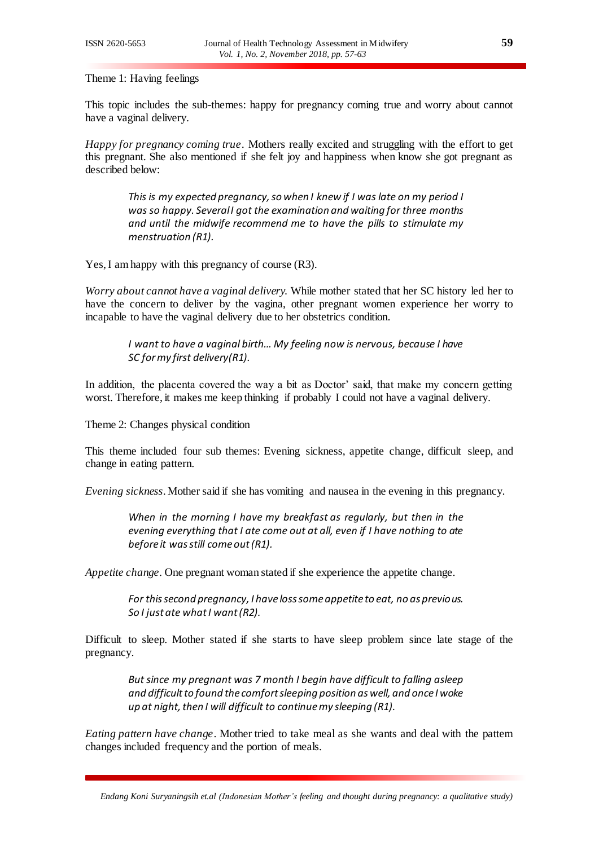Theme 1: Having feelings

This topic includes the sub-themes: happy for pregnancy coming true and worry about cannot have a vaginal delivery.

*Happy for pregnancy coming true*. Mothers really excited and struggling with the effort to get this pregnant. She also mentioned if she felt joy and happiness when know she got pregnant as described below:

*This is my expected pregnancy, so when I knew if I was late on my period I was so happy. Several I got the examination and waiting for three months and until the midwife recommend me to have the pills to stimulate my menstruation (R1).*

Yes, I am happy with this pregnancy of course (R3).

*Worry about cannot have a vaginal delivery.* While mother stated that her SC history led her to have the concern to deliver by the vagina, other pregnant women experience her worry to incapable to have the vaginal delivery due to her obstetrics condition.

*I want to have a vaginal birth… My feeling now is nervous, because I have SC for my first delivery(R1).*

In addition, the placenta covered the way a bit as Doctor' said, that make my concern getting worst. Therefore, it makes me keep thinking if probably I could not have a vaginal delivery.

Theme 2: Changes physical condition

This theme included four sub themes: Evening sickness, appetite change, difficult sleep, and change in eating pattern.

*Evening sickness*. Mother said if she has vomiting and nausea in the evening in this pregnancy.

*When in the morning I have my breakfast as regularly, but then in the evening everything that I ate come out at all, even if I have nothing to ate before it was still come out (R1).*

*Appetite change*. One pregnant woman stated if she experience the appetite change.

*For this second pregnancy, I have loss some appetite to eat, no as previous. So I just ate what I want (R2).*

Difficult to sleep. Mother stated if she starts to have sleep problem since late stage of the pregnancy.

*But since my pregnant was 7 month I begin have difficult to falling asleep and difficult to found the comfort sleeping position as well, and once I woke up at night, then I will difficult to continue my sleeping (R1).*

*Eating pattern have change*. Mother tried to take meal as she wants and deal with the pattern changes included frequency and the portion of meals.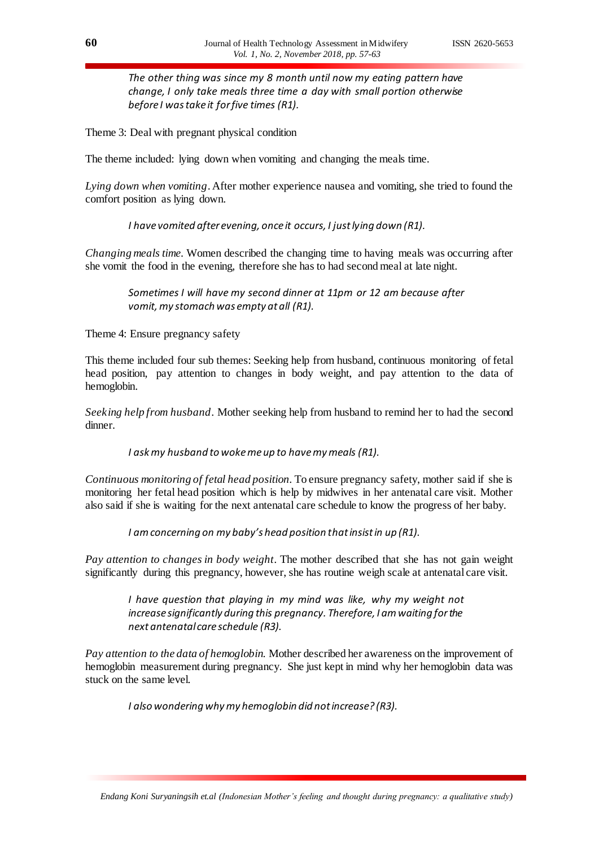*The other thing was since my 8 month until now my eating pattern have change, I only take meals three time a day with small portion otherwise before I was take it for five times (R1).*

Theme 3: Deal with pregnant physical condition

The theme included: lying down when vomiting and changing the meals time.

*Lying down when vomiting*. After mother experience nausea and vomiting, she tried to found the comfort position as lying down.

*I have vomited after evening, once it occurs, I just lying down (R1).*

*Changing meals time.* Women described the changing time to having meals was occurring after she vomit the food in the evening, therefore she has to had second meal at late night.

*Sometimes I will have my second dinner at 11pm or 12 am because after vomit, my stomach was empty at all (R1).*

Theme 4: Ensure pregnancy safety

This theme included four sub themes: Seeking help from husband, continuous monitoring of fetal head position, pay attention to changes in body weight, and pay attention to the data of hemoglobin.

*Seeking help from husband*. Mother seeking help from husband to remind her to had the second dinner.

*I ask my husband to woke me up to have my meals (R1).*

*Continuous monitoring of fetal head position*. To ensure pregnancy safety, mother said if she is monitoring her fetal head position which is help by midwives in her antenatal care visit. Mother also said if she is waiting for the next antenatal care schedule to know the progress of her baby.

*I am concerning on my baby's head position that insist in up (R1).*

*Pay attention to changes in body weight*. The mother described that she has not gain weight significantly during this pregnancy, however, she has routine weigh scale at antenatal care visit.

*I have question that playing in my mind was like, why my weight not increase significantly during this pregnancy. Therefore, I am waiting for the next antenatal care schedule (R3).*

*Pay attention to the data of hemoglobin.* Mother described her awareness on the improvement of hemoglobin measurement during pregnancy. She just kept in mind why her hemoglobin data was stuck on the same level.

*I also wondering why my hemoglobin did not increase? (R3).*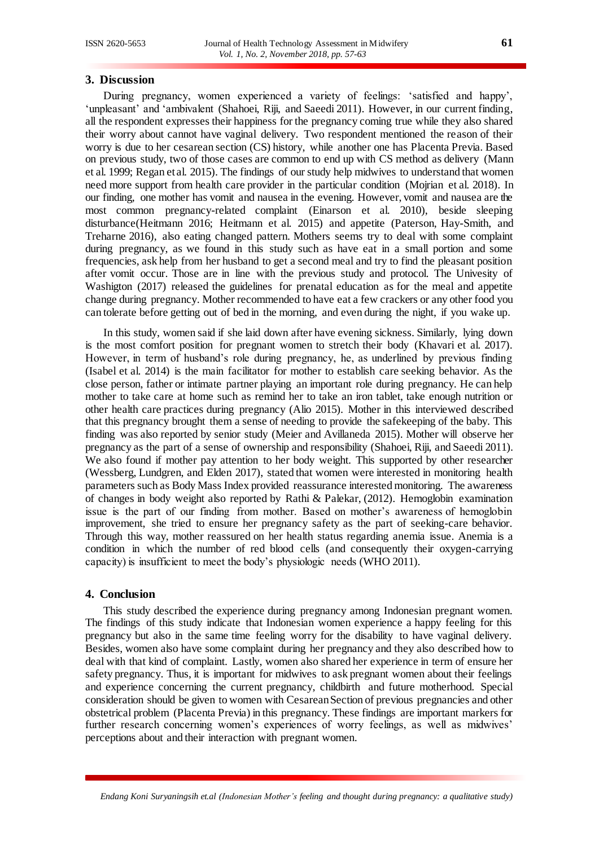# **3. Discussion**

During pregnancy, women experienced a variety of feelings: 'satisfied and happy', 'unpleasant' and 'ambivalent (Shahoei, Riji, and Saeedi 2011). However, in our current finding, all the respondent expresses their happiness for the pregnancy coming true while they also shared their worry about cannot have vaginal delivery. Two respondent mentioned the reason of their worry is due to her cesarean section (CS) history, while another one has Placenta Previa. Based on previous study, two of those cases are common to end up with CS method as delivery (Mann et al. 1999; Regan et al. 2015). The findings of our study help midwives to understand that women need more support from health care provider in the particular condition (Mojrian et al. 2018). In our finding, one mother has vomit and nausea in the evening. However, vomit and nausea are the most common pregnancy-related complaint (Einarson et al. 2010), beside sleeping disturbance(Heitmann 2016; Heitmann et al. 2015) and appetite (Paterson, Hay-Smith, and Treharne 2016), also eating changed pattern. Mothers seems try to deal with some complaint during pregnancy, as we found in this study such as have eat in a small portion and some frequencies, ask help from her husband to get a second meal and try to find the pleasant position after vomit occur. Those are in line with the previous study and protocol. The Univesity of Washigton (2017) released the guidelines for prenatal education as for the meal and appetite change during pregnancy. Mother recommended to have eat a few crackers or any other food you can tolerate before getting out of bed in the morning, and even during the night, if you wake up.

In this study, women said if she laid down after have evening sickness. Similarly, lying down is the most comfort position for pregnant women to stretch their body (Khavari et al. 2017). However, in term of husband's role during pregnancy, he, as underlined by previous finding (Isabel et al. 2014) is the main facilitator for mother to establish care seeking behavior. As the close person, father or intimate partner playing an important role during pregnancy. He can help mother to take care at home such as remind her to take an iron tablet, take enough nutrition or other health care practices during pregnancy (Alio 2015). Mother in this interviewed described that this pregnancy brought them a sense of needing to provide the safekeeping of the baby. This finding was also reported by senior study (Meier and Avillaneda 2015). Mother will observe her pregnancy as the part of a sense of ownership and responsibility (Shahoei, Riji, and Saeedi 2011). We also found if mother pay attention to her body weight. This supported by other researcher (Wessberg, Lundgren, and Elden 2017), stated that women were interested in monitoring health parameters such as Body Mass Index provided reassurance interested monitoring. The awareness of changes in body weight also reported by Rathi & Palekar, (2012). Hemoglobin examination issue is the part of our finding from mother. Based on mother's awareness of hemoglobin improvement, she tried to ensure her pregnancy safety as the part of seeking-care behavior. Through this way, mother reassured on her health status regarding anemia issue. Anemia is a condition in which the number of red blood cells (and consequently their oxygen-carrying capacity) is insufficient to meet the body's physiologic needs (WHO 2011).

# **4. Conclusion**

This study described the experience during pregnancy among Indonesian pregnant women. The findings of this study indicate that Indonesian women experience a happy feeling for this pregnancy but also in the same time feeling worry for the disability to have vaginal delivery. Besides, women also have some complaint during her pregnancy and they also described how to deal with that kind of complaint. Lastly, women also shared her experience in term of ensure her safety pregnancy. Thus, it is important for midwives to ask pregnant women about their feelings and experience concerning the current pregnancy, childbirth and future motherhood. Special consideration should be given to women with Cesarean Section of previous pregnancies and other obstetrical problem (Placenta Previa) in this pregnancy. These findings are important markers for further research concerning women's experiences of worry feelings, as well as midwives' perceptions about and their interaction with pregnant women.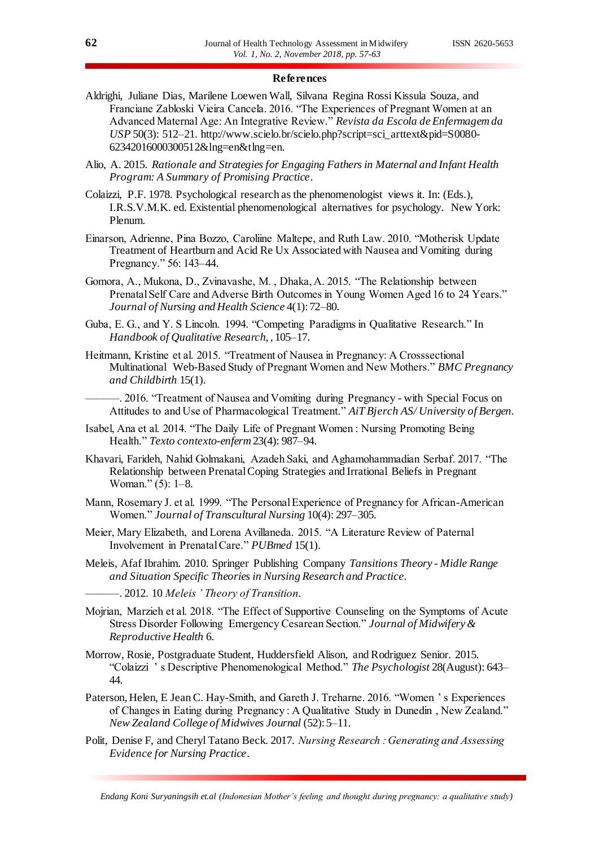### **References**

- Aldrighi, Juliane Dias, Marilene Loewen Wall, Silvana Regina Rossi Kissula Souza, and Franciane Zabloski Vieira Cancela. 2016. "The Experiences of Pregnant Women at an Advanced Maternal Age: An Integrative Review." *Revista da Escola de Enfermagem da USP* 50(3): 512–21. http://www.scielo.br/scielo.php?script=sci\_arttext&pid=S0080- 62342016000300512&lng=en&tlng=en.
- Alio, A. 2015. *Rationale and Strategies for Engaging Fathers in Maternal and Infant Health Program: A Summary of Promising Practice*.
- Colaizzi, P.F. 1978. Psychological research as the phenomenologist views it. In: (Eds.), I.R.S.V.M.K. ed. Existential phenomenological alternatives for psychology. New York: Plenum.
- Einarson, Adrienne, Pina Bozzo, Caroliine Maltepe, and Ruth Law. 2010. "Motherisk Update Treatment of Heartburn and Acid Re Ux Associated with Nausea and Vomiting during Pregnancy." 56: 143–44.
- Gomora, A., Mukona, D., Zvinavashe, M. , Dhaka, A. 2015. "The Relationship between Prenatal Self Care and Adverse Birth Outcomes in Young Women Aged 16 to 24 Years." *Journal of Nursing and Health Science* 4(1): 72–80.
- Guba, E. G., and Y. S Lincoln. 1994. "Competing Paradigms in Qualitative Research." In *Handbook of Qualitative Research*, , 105–17.
- Heitmann, Kristine et al. 2015. "Treatment of Nausea in Pregnancy: A Crosssectional Multinational Web-Based Study of Pregnant Women and New Mothers." *BMC Pregnancy and Childbirth* 15(1).

-. 2016. "Treatment of Nausea and Vomiting during Pregnancy - with Special Focus on Attitudes to and Use of Pharmacological Treatment." *AiT Bjerch AS/ University of Bergen*.

- Isabel, Ana et al. 2014. "The Daily Life of Pregnant Women : Nursing Promoting Being Health." *Texto contexto-enferm* 23(4): 987–94.
- Khavari, Farideh, Nahid Golmakani, Azadeh Saki, and Aghamohammadian Serbaf. 2017. "The Relationship between Prenatal Coping Strategies and Irrational Beliefs in Pregnant Woman." (5): 1–8.
- Mann, Rosemary J. et al. 1999. "The Personal Experience of Pregnancy for African-American Women." *Journal of Transcultural Nursing* 10(4): 297–305.
- Meier, Mary Elizabeth, and Lorena Avillaneda. 2015. "A Literature Review of Paternal Involvement in Prenatal Care." *PUBmed* 15(1).
- Meleis, Afaf Ibrahim. 2010. Springer Publishing Company *Tansitions Theory - Midle Range and Situation Specific Theories in Nursing Research and Practice*.
	- ———. 2012. 10 *Meleis ' Theory of Transition*.
- Mojrian, Marzieh et al. 2018. "The Effect of Supportive Counseling on the Symptoms of Acute Stress Disorder Following Emergency Cesarean Section." *Journal of Midwifery & Reproductive Health* 6.
- Morrow, Rosie, Postgraduate Student, Huddersfield Alison, and Rodriguez Senior. 2015. "Colaizzi ' s Descriptive Phenomenological Method." *The Psychologist* 28(August): 643– 44.
- Paterson, Helen, E Jean C. Hay-Smith, and Gareth J. Treharne. 2016. "Women ' s Experiences of Changes in Eating during Pregnancy : A Qualitative Study in Dunedin , New Zealand." *New Zealand College of Midwives Journal* (52): 5–11.
- Polit, Denise F, and Cheryl Tatano Beck. 2017. *Nursing Research : Generating and Assessing Evidence for Nursing Practice*.